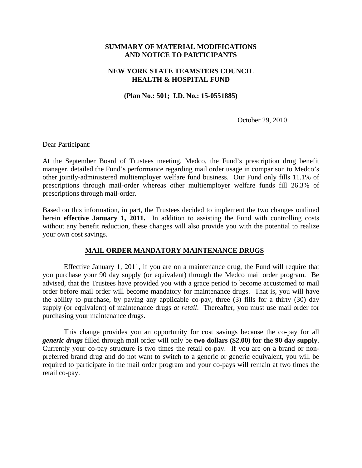## **SUMMARY OF MATERIAL MODIFICATIONS AND NOTICE TO PARTICIPANTS**

## **NEW YORK STATE TEAMSTERS COUNCIL HEALTH & HOSPITAL FUND**

**(Plan No.: 501; I.D. No.: 15-0551885)** 

October 29, 2010

Dear Participant:

At the September Board of Trustees meeting, Medco, the Fund's prescription drug benefit manager, detailed the Fund's performance regarding mail order usage in comparison to Medco's other jointly-administered multiemployer welfare fund business. Our Fund only fills 11.1% of prescriptions through mail-order whereas other multiemployer welfare funds fill 26.3% of prescriptions through mail-order.

Based on this information, in part, the Trustees decided to implement the two changes outlined herein **effective January 1, 2011.** In addition to assisting the Fund with controlling costs without any benefit reduction, these changes will also provide you with the potential to realize your own cost savings.

#### **MAIL ORDER MANDATORY MAINTENANCE DRUGS**

Effective January 1, 2011, if you are on a maintenance drug, the Fund will require that you purchase your 90 day supply (or equivalent) through the Medco mail order program. Be advised, that the Trustees have provided you with a grace period to become accustomed to mail order before mail order will become mandatory for maintenance drugs. That is, you will have the ability to purchase, by paying any applicable co-pay, three (3) fills for a thirty (30) day supply (or equivalent) of maintenance drugs *at retail*. Thereafter, you must use mail order for purchasing your maintenance drugs.

This change provides you an opportunity for cost savings because the co-pay for all *generic drugs* filled through mail order will only be **two dollars (\$2.00) for the 90 day supply**. Currently your co-pay structure is two times the retail co-pay. If you are on a brand or nonpreferred brand drug and do not want to switch to a generic or generic equivalent, you will be required to participate in the mail order program and your co-pays will remain at two times the retail co-pay.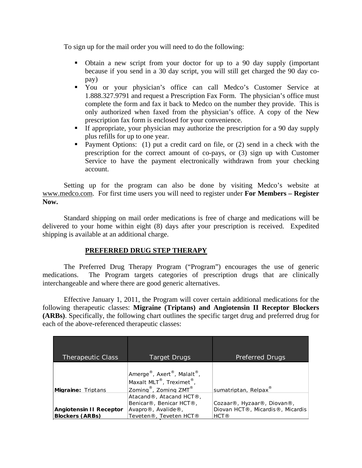To sign up for the mail order you will need to do the following:

- Obtain a new script from your doctor for up to a 90 day supply (important because if you send in a 30 day script, you will still get charged the 90 day copay)
- You or your physician's office can call Medco's Customer Service at 1.888.327.9791 and request a Prescription Fax Form. The physician's office must complete the form and fax it back to Medco on the number they provide. This is only authorized when faxed from the physician's office. A copy of the New prescription fax form is enclosed for your convenience.
- If appropriate, your physician may authorize the prescription for a 90 day supply plus refills for up to one year.
- **Payment Options:** (1) put a credit card on file, or (2) send in a check with the prescription for the correct amount of co-pays, or (3) sign up with Customer Service to have the payment electronically withdrawn from your checking account.

Setting up for the program can also be done by visiting Medco's website at www.medco.com. For first time users you will need to register under **For Members – Register Now.** 

Standard shipping on mail order medications is free of charge and medications will be delivered to your home within eight (8) days after your prescription is received. Expedited shipping is available at an additional charge.

# **PREFERRED DRUG STEP THERAPY**

The Preferred Drug Therapy Program ("Program") encourages the use of generic medications. The Program targets categories of prescription drugs that are clinically interchangeable and where there are good generic alternatives.

Effective January 1, 2011, the Program will cover certain additional medications for the following therapeutic classes: **Migraine (Triptans) and Angiotensin II Receptor Blockers (ARBs)**. Specifically, the following chart outlines the specific target drug and preferred drug for each of the above-referenced therapeutic classes:

| <b>Therapeutic Class</b>                                 | Target Drugs                                                                                                                                           | Preferred Drugs                                                                    |
|----------------------------------------------------------|--------------------------------------------------------------------------------------------------------------------------------------------------------|------------------------------------------------------------------------------------|
| <b>Migraine: Triptans</b>                                | Amerge <sup>®</sup> , Axert <sup>®</sup> , Malalt <sup>®</sup> ,<br>Maxalt MLT®, Treximet®,<br>Zoming <sup>®</sup> , Zoming ZMT <sup>®</sup>           | sumatriptan, Relpax®                                                               |
| <b>Angiotensin II Receptor</b><br><b>Blockers (ARBs)</b> | Atacand®, Atacand HCT®,<br>Benicar <sup>®</sup> , Benicar HCT <sup>®</sup> ,<br>Avapro $\mathcal D$ , Avalide $\mathcal D$ ,<br>Teveten®, Teveten HCT® | Cozaar®, Hyzaar®, Diovan®,<br>Diovan HCT®, Micardis®, Micardis<br>HCT <sup>®</sup> |